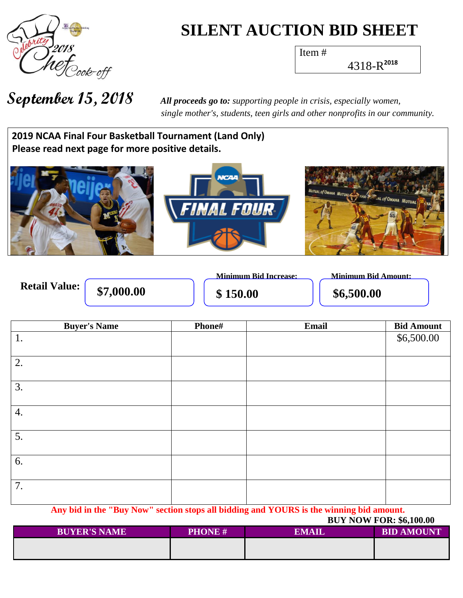

# **SILENT AUCTION BID SHEET**

Item #

4318-R **2018**

**September 15, 2018** *All proceeds go to: supporting people in crisis, especially women, single mother's, students, teen girls and other nonprofits in our community.*

**Wh a t h 2019 NCAA Final Four Basketball Tournament (Land Only)** Please read next page for more positive details.



|                      |            | <b>Minimum Bid Increase:</b> | Minimum Bid Amount: |
|----------------------|------------|------------------------------|---------------------|
| <b>Retail Value:</b> | \$7,000.00 | \$150.00                     | \$6,500.00          |

| <b>Buyer's Name</b> | Phone# | Email | <b>Bid Amount</b> |
|---------------------|--------|-------|-------------------|
| 1.                  |        |       | \$6,500.00        |
|                     |        |       |                   |
| 2.                  |        |       |                   |
|                     |        |       |                   |
| 3.                  |        |       |                   |
|                     |        |       |                   |
| 4.                  |        |       |                   |
|                     |        |       |                   |
| 5.                  |        |       |                   |
|                     |        |       |                   |
| 6.                  |        |       |                   |
|                     |        |       |                   |
| 7.                  |        |       |                   |
|                     |        |       |                   |

**Any bid in the "Buy Now" section stops all bidding and YOURS is the winning bid amount.**

#### **BUY NOW FOR: \$6,100.00**

| <b>BUYER'S NAME</b> | <b>PHONE#</b> | <b>EMAIL</b> | <b>BID AMOUNT</b> |
|---------------------|---------------|--------------|-------------------|
|                     |               |              |                   |
|                     |               |              |                   |